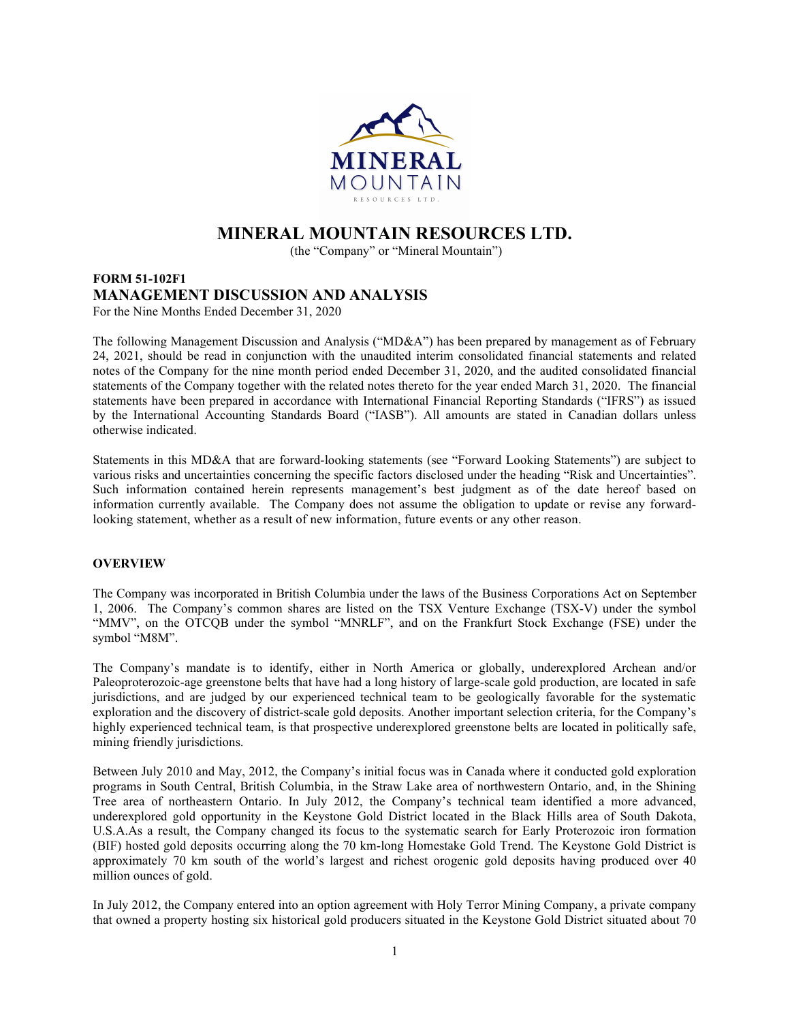

# MINERAL MOUNTAIN RESOURCES LTD.

(the "Company" or "Mineral Mountain")

# FORM 51-102F1 MANAGEMENT DISCUSSION AND ANALYSIS For the Nine Months Ended December 31, 2020

The following Management Discussion and Analysis ("MD&A") has been prepared by management as of February 24, 2021, should be read in conjunction with the unaudited interim consolidated financial statements and related notes of the Company for the nine month period ended December 31, 2020, and the audited consolidated financial statements of the Company together with the related notes thereto for the year ended March 31, 2020. The financial statements have been prepared in accordance with International Financial Reporting Standards ("IFRS") as issued by the International Accounting Standards Board ("IASB"). All amounts are stated in Canadian dollars unless otherwise indicated.

Statements in this MD&A that are forward-looking statements (see "Forward Looking Statements") are subject to various risks and uncertainties concerning the specific factors disclosed under the heading "Risk and Uncertainties". Such information contained herein represents management's best judgment as of the date hereof based on information currently available. The Company does not assume the obligation to update or revise any forwardlooking statement, whether as a result of new information, future events or any other reason.

# **OVERVIEW**

The Company was incorporated in British Columbia under the laws of the Business Corporations Act on September 1, 2006. The Company's common shares are listed on the TSX Venture Exchange (TSX-V) under the symbol "MMV", on the OTCQB under the symbol "MNRLF", and on the Frankfurt Stock Exchange (FSE) under the symbol "M8M".

The Company's mandate is to identify, either in North America or globally, underexplored Archean and/or Paleoproterozoic-age greenstone belts that have had a long history of large-scale gold production, are located in safe jurisdictions, and are judged by our experienced technical team to be geologically favorable for the systematic exploration and the discovery of district-scale gold deposits. Another important selection criteria, for the Company's highly experienced technical team, is that prospective underexplored greenstone belts are located in politically safe, mining friendly jurisdictions.

Between July 2010 and May, 2012, the Company's initial focus was in Canada where it conducted gold exploration programs in South Central, British Columbia, in the Straw Lake area of northwestern Ontario, and, in the Shining Tree area of northeastern Ontario. In July 2012, the Company's technical team identified a more advanced, underexplored gold opportunity in the Keystone Gold District located in the Black Hills area of South Dakota, U.S.A.As a result, the Company changed its focus to the systematic search for Early Proterozoic iron formation (BIF) hosted gold deposits occurring along the 70 km-long Homestake Gold Trend. The Keystone Gold District is approximately 70 km south of the world's largest and richest orogenic gold deposits having produced over 40 million ounces of gold.

In July 2012, the Company entered into an option agreement with Holy Terror Mining Company, a private company that owned a property hosting six historical gold producers situated in the Keystone Gold District situated about 70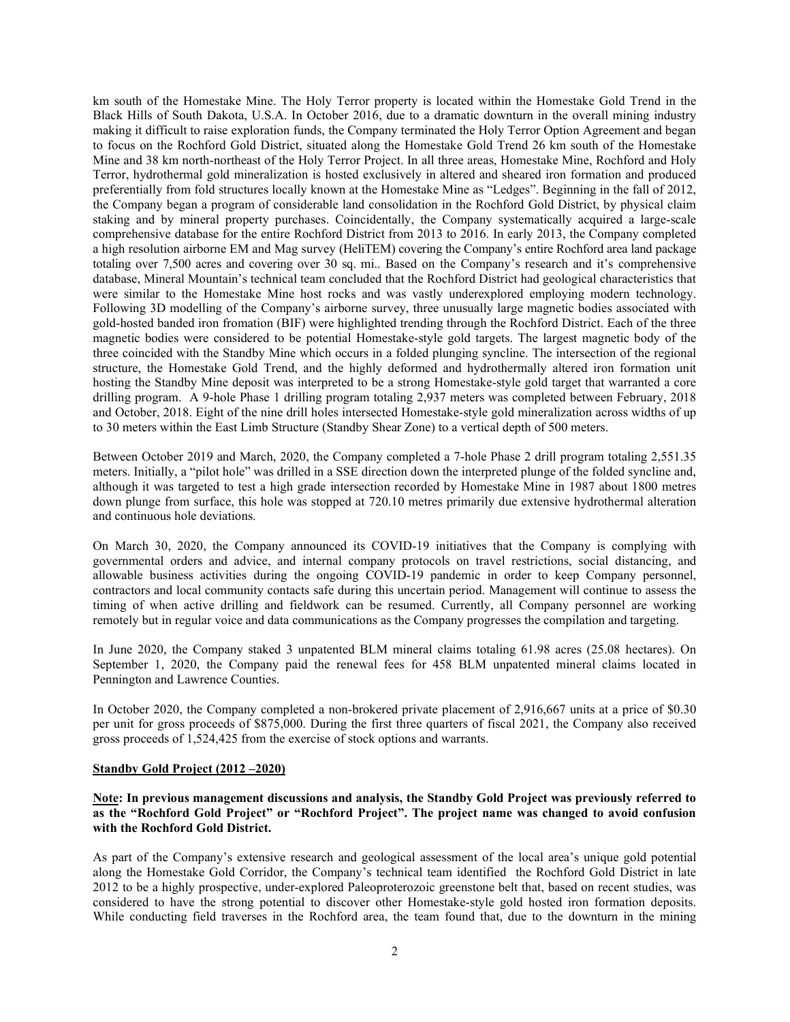km south of the Homestake Mine. The Holy Terror property is located within the Homestake Gold Trend in the Black Hills of South Dakota, U.S.A. In October 2016, due to a dramatic downturn in the overall mining industry making it difficult to raise exploration funds, the Company terminated the Holy Terror Option Agreement and began to focus on the Rochford Gold District, situated along the Homestake Gold Trend 26 km south of the Homestake Mine and 38 km north-northeast of the Holy Terror Project. In all three areas, Homestake Mine, Rochford and Holy Terror, hydrothermal gold mineralization is hosted exclusively in altered and sheared iron formation and produced preferentially from fold structures locally known at the Homestake Mine as "Ledges". Beginning in the fall of 2012, the Company began a program of considerable land consolidation in the Rochford Gold District, by physical claim staking and by mineral property purchases. Coincidentally, the Company systematically acquired a large-scale comprehensive database for the entire Rochford District from 2013 to 2016. In early 2013, the Company completed a high resolution airborne EM and Mag survey (HeliTEM) covering the Company's entire Rochford area land package totaling over 7,500 acres and covering over 30 sq. mi.. Based on the Company's research and it's comprehensive database, Mineral Mountain's technical team concluded that the Rochford District had geological characteristics that were similar to the Homestake Mine host rocks and was vastly underexplored employing modern technology. Following 3D modelling of the Company's airborne survey, three unusually large magnetic bodies associated with gold-hosted banded iron fromation (BIF) were highlighted trending through the Rochford District. Each of the three magnetic bodies were considered to be potential Homestake-style gold targets. The largest magnetic body of the three coincided with the Standby Mine which occurs in a folded plunging syncline. The intersection of the regional structure, the Homestake Gold Trend, and the highly deformed and hydrothermally altered iron formation unit hosting the Standby Mine deposit was interpreted to be a strong Homestake-style gold target that warranted a core drilling program. A 9-hole Phase 1 drilling program totaling 2,937 meters was completed between February, 2018 and October, 2018. Eight of the nine drill holes intersected Homestake-style gold mineralization across widths of up to 30 meters within the East Limb Structure (Standby Shear Zone) to a vertical depth of 500 meters.

Between October 2019 and March, 2020, the Company completed a 7-hole Phase 2 drill program totaling 2,551.35 meters. Initially, a "pilot hole" was drilled in a SSE direction down the interpreted plunge of the folded syncline and, although it was targeted to test a high grade intersection recorded by Homestake Mine in 1987 about 1800 metres down plunge from surface, this hole was stopped at 720.10 metres primarily due extensive hydrothermal alteration and continuous hole deviations.

On March 30, 2020, the Company announced its COVID-19 initiatives that the Company is complying with governmental orders and advice, and internal company protocols on travel restrictions, social distancing, and allowable business activities during the ongoing COVID-19 pandemic in order to keep Company personnel, contractors and local community contacts safe during this uncertain period. Management will continue to assess the timing of when active drilling and fieldwork can be resumed. Currently, all Company personnel are working remotely but in regular voice and data communications as the Company progresses the compilation and targeting.

In June 2020, the Company staked 3 unpatented BLM mineral claims totaling 61.98 acres (25.08 hectares). On September 1, 2020, the Company paid the renewal fees for 458 BLM unpatented mineral claims located in Pennington and Lawrence Counties.

In October 2020, the Company completed a non-brokered private placement of 2,916,667 units at a price of \$0.30 per unit for gross proceeds of \$875,000. During the first three quarters of fiscal 2021, the Company also received gross proceeds of 1,524,425 from the exercise of stock options and warrants.

#### Standby Gold Project (2012 –2020)

Note: In previous management discussions and analysis, the Standby Gold Project was previously referred to as the "Rochford Gold Project" or "Rochford Project". The project name was changed to avoid confusion with the Rochford Gold District.

As part of the Company's extensive research and geological assessment of the local area's unique gold potential along the Homestake Gold Corridor, the Company's technical team identified the Rochford Gold District in late 2012 to be a highly prospective, under-explored Paleoproterozoic greenstone belt that, based on recent studies, was considered to have the strong potential to discover other Homestake-style gold hosted iron formation deposits. While conducting field traverses in the Rochford area, the team found that, due to the downturn in the mining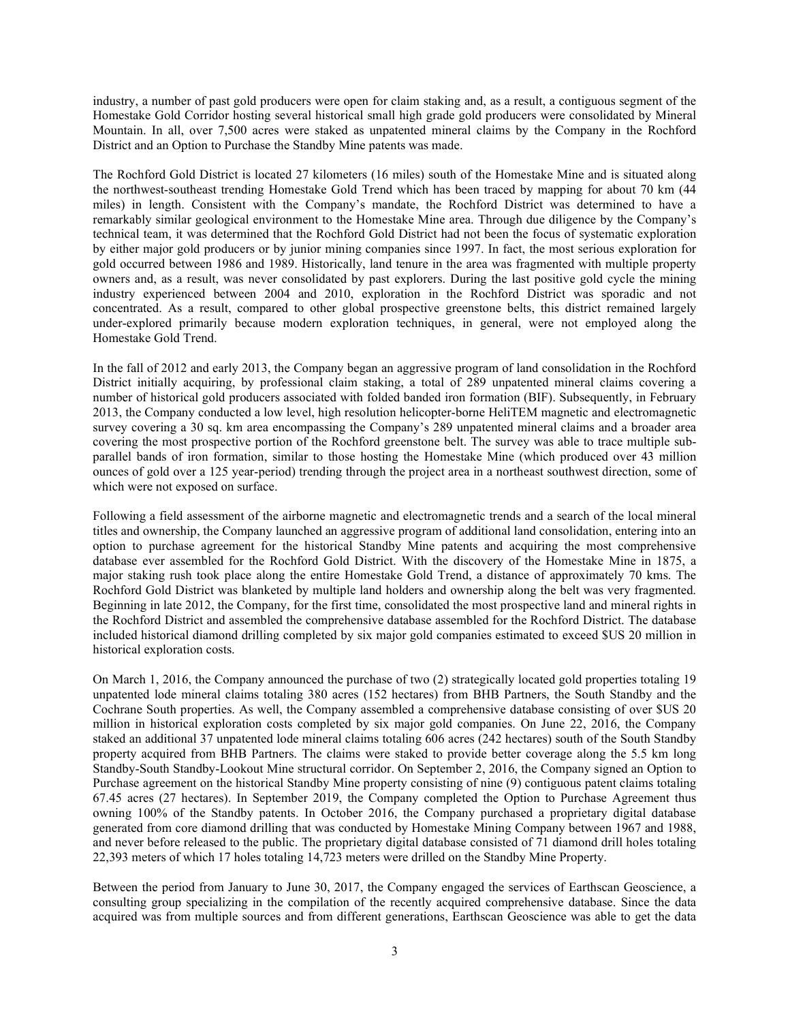industry, a number of past gold producers were open for claim staking and, as a result, a contiguous segment of the Homestake Gold Corridor hosting several historical small high grade gold producers were consolidated by Mineral Mountain. In all, over 7,500 acres were staked as unpatented mineral claims by the Company in the Rochford District and an Option to Purchase the Standby Mine patents was made.

The Rochford Gold District is located 27 kilometers (16 miles) south of the Homestake Mine and is situated along the northwest-southeast trending Homestake Gold Trend which has been traced by mapping for about 70 km (44 miles) in length. Consistent with the Company's mandate, the Rochford District was determined to have a remarkably similar geological environment to the Homestake Mine area. Through due diligence by the Company's technical team, it was determined that the Rochford Gold District had not been the focus of systematic exploration by either major gold producers or by junior mining companies since 1997. In fact, the most serious exploration for gold occurred between 1986 and 1989. Historically, land tenure in the area was fragmented with multiple property owners and, as a result, was never consolidated by past explorers. During the last positive gold cycle the mining industry experienced between 2004 and 2010, exploration in the Rochford District was sporadic and not concentrated. As a result, compared to other global prospective greenstone belts, this district remained largely under-explored primarily because modern exploration techniques, in general, were not employed along the Homestake Gold Trend.

In the fall of 2012 and early 2013, the Company began an aggressive program of land consolidation in the Rochford District initially acquiring, by professional claim staking, a total of 289 unpatented mineral claims covering a number of historical gold producers associated with folded banded iron formation (BIF). Subsequently, in February 2013, the Company conducted a low level, high resolution helicopter-borne HeliTEM magnetic and electromagnetic survey covering a 30 sq. km area encompassing the Company's 289 unpatented mineral claims and a broader area covering the most prospective portion of the Rochford greenstone belt. The survey was able to trace multiple subparallel bands of iron formation, similar to those hosting the Homestake Mine (which produced over 43 million ounces of gold over a 125 year-period) trending through the project area in a northeast southwest direction, some of which were not exposed on surface.

Following a field assessment of the airborne magnetic and electromagnetic trends and a search of the local mineral titles and ownership, the Company launched an aggressive program of additional land consolidation, entering into an option to purchase agreement for the historical Standby Mine patents and acquiring the most comprehensive database ever assembled for the Rochford Gold District. With the discovery of the Homestake Mine in 1875, a major staking rush took place along the entire Homestake Gold Trend, a distance of approximately 70 kms. The Rochford Gold District was blanketed by multiple land holders and ownership along the belt was very fragmented. Beginning in late 2012, the Company, for the first time, consolidated the most prospective land and mineral rights in the Rochford District and assembled the comprehensive database assembled for the Rochford District. The database included historical diamond drilling completed by six major gold companies estimated to exceed \$US 20 million in historical exploration costs.

On March 1, 2016, the Company announced the purchase of two (2) strategically located gold properties totaling 19 unpatented lode mineral claims totaling 380 acres (152 hectares) from BHB Partners, the South Standby and the Cochrane South properties. As well, the Company assembled a comprehensive database consisting of over \$US 20 million in historical exploration costs completed by six major gold companies. On June 22, 2016, the Company staked an additional 37 unpatented lode mineral claims totaling 606 acres (242 hectares) south of the South Standby property acquired from BHB Partners. The claims were staked to provide better coverage along the 5.5 km long Standby-South Standby-Lookout Mine structural corridor. On September 2, 2016, the Company signed an Option to Purchase agreement on the historical Standby Mine property consisting of nine (9) contiguous patent claims totaling 67.45 acres (27 hectares). In September 2019, the Company completed the Option to Purchase Agreement thus owning 100% of the Standby patents. In October 2016, the Company purchased a proprietary digital database generated from core diamond drilling that was conducted by Homestake Mining Company between 1967 and 1988, and never before released to the public. The proprietary digital database consisted of 71 diamond drill holes totaling 22,393 meters of which 17 holes totaling 14,723 meters were drilled on the Standby Mine Property.

Between the period from January to June 30, 2017, the Company engaged the services of Earthscan Geoscience, a consulting group specializing in the compilation of the recently acquired comprehensive database. Since the data acquired was from multiple sources and from different generations, Earthscan Geoscience was able to get the data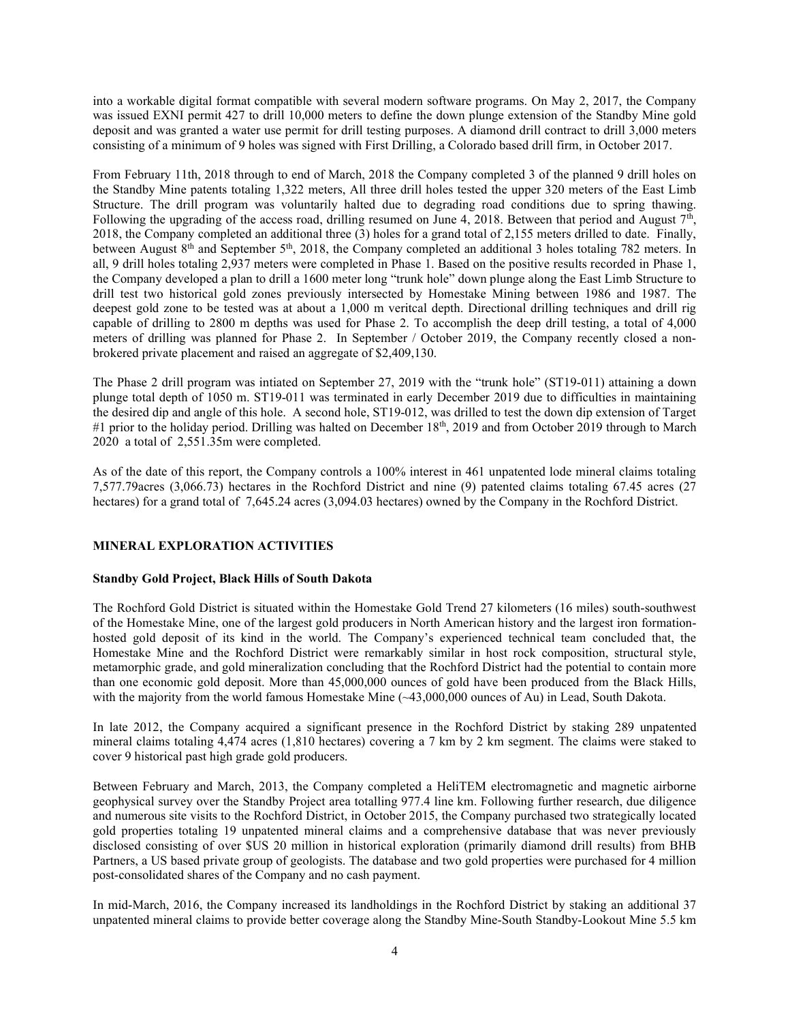into a workable digital format compatible with several modern software programs. On May 2, 2017, the Company was issued EXNI permit 427 to drill 10,000 meters to define the down plunge extension of the Standby Mine gold deposit and was granted a water use permit for drill testing purposes. A diamond drill contract to drill 3,000 meters consisting of a minimum of 9 holes was signed with First Drilling, a Colorado based drill firm, in October 2017.

From February 11th, 2018 through to end of March, 2018 the Company completed 3 of the planned 9 drill holes on the Standby Mine patents totaling 1,322 meters, All three drill holes tested the upper 320 meters of the East Limb Structure. The drill program was voluntarily halted due to degrading road conditions due to spring thawing. Following the upgrading of the access road, drilling resumed on June 4, 2018. Between that period and August  $7<sup>th</sup>$ , 2018, the Company completed an additional three (3) holes for a grand total of 2,155 meters drilled to date. Finally, between August 8<sup>th</sup> and September 5<sup>th</sup>, 2018, the Company completed an additional 3 holes totaling 782 meters. In all, 9 drill holes totaling 2,937 meters were completed in Phase 1. Based on the positive results recorded in Phase 1, the Company developed a plan to drill a 1600 meter long "trunk hole" down plunge along the East Limb Structure to drill test two historical gold zones previously intersected by Homestake Mining between 1986 and 1987. The deepest gold zone to be tested was at about a 1,000 m veritcal depth. Directional drilling techniques and drill rig capable of drilling to 2800 m depths was used for Phase 2. To accomplish the deep drill testing, a total of 4,000 meters of drilling was planned for Phase 2. In September / October 2019, the Company recently closed a nonbrokered private placement and raised an aggregate of \$2,409,130.

The Phase 2 drill program was intiated on September 27, 2019 with the "trunk hole" (ST19-011) attaining a down plunge total depth of 1050 m. ST19-011 was terminated in early December 2019 due to difficulties in maintaining the desired dip and angle of this hole. A second hole, ST19-012, was drilled to test the down dip extension of Target #1 prior to the holiday period. Drilling was halted on December 18<sup>th</sup>, 2019 and from October 2019 through to March 2020 a total of 2,551.35m were completed.

As of the date of this report, the Company controls a 100% interest in 461 unpatented lode mineral claims totaling 7,577.79acres (3,066.73) hectares in the Rochford District and nine (9) patented claims totaling 67.45 acres (27 hectares) for a grand total of 7,645.24 acres (3,094.03 hectares) owned by the Company in the Rochford District.

# MINERAL EXPLORATION ACTIVITIES

# Standby Gold Project, Black Hills of South Dakota

The Rochford Gold District is situated within the Homestake Gold Trend 27 kilometers (16 miles) south-southwest of the Homestake Mine, one of the largest gold producers in North American history and the largest iron formationhosted gold deposit of its kind in the world. The Company's experienced technical team concluded that, the Homestake Mine and the Rochford District were remarkably similar in host rock composition, structural style, metamorphic grade, and gold mineralization concluding that the Rochford District had the potential to contain more than one economic gold deposit. More than 45,000,000 ounces of gold have been produced from the Black Hills, with the majority from the world famous Homestake Mine (~43,000,000 ounces of Au) in Lead, South Dakota.

In late 2012, the Company acquired a significant presence in the Rochford District by staking 289 unpatented mineral claims totaling 4,474 acres (1,810 hectares) covering a 7 km by 2 km segment. The claims were staked to cover 9 historical past high grade gold producers.

Between February and March, 2013, the Company completed a HeliTEM electromagnetic and magnetic airborne geophysical survey over the Standby Project area totalling 977.4 line km. Following further research, due diligence and numerous site visits to the Rochford District, in October 2015, the Company purchased two strategically located gold properties totaling 19 unpatented mineral claims and a comprehensive database that was never previously disclosed consisting of over \$US 20 million in historical exploration (primarily diamond drill results) from BHB Partners, a US based private group of geologists. The database and two gold properties were purchased for 4 million post-consolidated shares of the Company and no cash payment.

In mid-March, 2016, the Company increased its landholdings in the Rochford District by staking an additional 37 unpatented mineral claims to provide better coverage along the Standby Mine-South Standby-Lookout Mine 5.5 km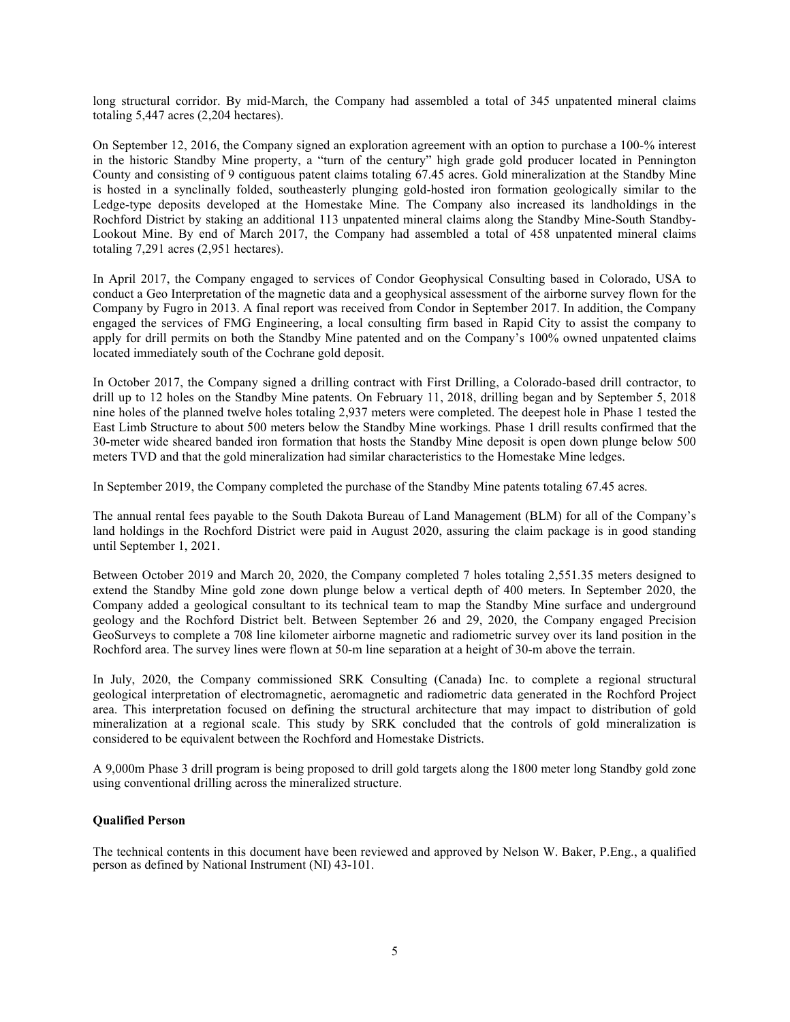long structural corridor. By mid-March, the Company had assembled a total of 345 unpatented mineral claims totaling 5,447 acres (2,204 hectares).

On September 12, 2016, the Company signed an exploration agreement with an option to purchase a 100-% interest in the historic Standby Mine property, a "turn of the century" high grade gold producer located in Pennington County and consisting of 9 contiguous patent claims totaling 67.45 acres. Gold mineralization at the Standby Mine is hosted in a synclinally folded, southeasterly plunging gold-hosted iron formation geologically similar to the Ledge-type deposits developed at the Homestake Mine. The Company also increased its landholdings in the Rochford District by staking an additional 113 unpatented mineral claims along the Standby Mine-South Standby-Lookout Mine. By end of March 2017, the Company had assembled a total of 458 unpatented mineral claims totaling 7,291 acres (2,951 hectares).

In April 2017, the Company engaged to services of Condor Geophysical Consulting based in Colorado, USA to conduct a Geo Interpretation of the magnetic data and a geophysical assessment of the airborne survey flown for the Company by Fugro in 2013. A final report was received from Condor in September 2017. In addition, the Company engaged the services of FMG Engineering, a local consulting firm based in Rapid City to assist the company to apply for drill permits on both the Standby Mine patented and on the Company's 100% owned unpatented claims located immediately south of the Cochrane gold deposit.

In October 2017, the Company signed a drilling contract with First Drilling, a Colorado-based drill contractor, to drill up to 12 holes on the Standby Mine patents. On February 11, 2018, drilling began and by September 5, 2018 nine holes of the planned twelve holes totaling 2,937 meters were completed. The deepest hole in Phase 1 tested the East Limb Structure to about 500 meters below the Standby Mine workings. Phase 1 drill results confirmed that the 30-meter wide sheared banded iron formation that hosts the Standby Mine deposit is open down plunge below 500 meters TVD and that the gold mineralization had similar characteristics to the Homestake Mine ledges.

In September 2019, the Company completed the purchase of the Standby Mine patents totaling 67.45 acres.

The annual rental fees payable to the South Dakota Bureau of Land Management (BLM) for all of the Company's land holdings in the Rochford District were paid in August 2020, assuring the claim package is in good standing until September 1, 2021.

Between October 2019 and March 20, 2020, the Company completed 7 holes totaling 2,551.35 meters designed to extend the Standby Mine gold zone down plunge below a vertical depth of 400 meters. In September 2020, the Company added a geological consultant to its technical team to map the Standby Mine surface and underground geology and the Rochford District belt. Between September 26 and 29, 2020, the Company engaged Precision GeoSurveys to complete a 708 line kilometer airborne magnetic and radiometric survey over its land position in the Rochford area. The survey lines were flown at 50-m line separation at a height of 30-m above the terrain.

In July, 2020, the Company commissioned SRK Consulting (Canada) Inc. to complete a regional structural geological interpretation of electromagnetic, aeromagnetic and radiometric data generated in the Rochford Project area. This interpretation focused on defining the structural architecture that may impact to distribution of gold mineralization at a regional scale. This study by SRK concluded that the controls of gold mineralization is considered to be equivalent between the Rochford and Homestake Districts.

A 9,000m Phase 3 drill program is being proposed to drill gold targets along the 1800 meter long Standby gold zone using conventional drilling across the mineralized structure.

# Qualified Person

The technical contents in this document have been reviewed and approved by Nelson W. Baker, P.Eng., a qualified person as defined by National Instrument (NI) 43-101.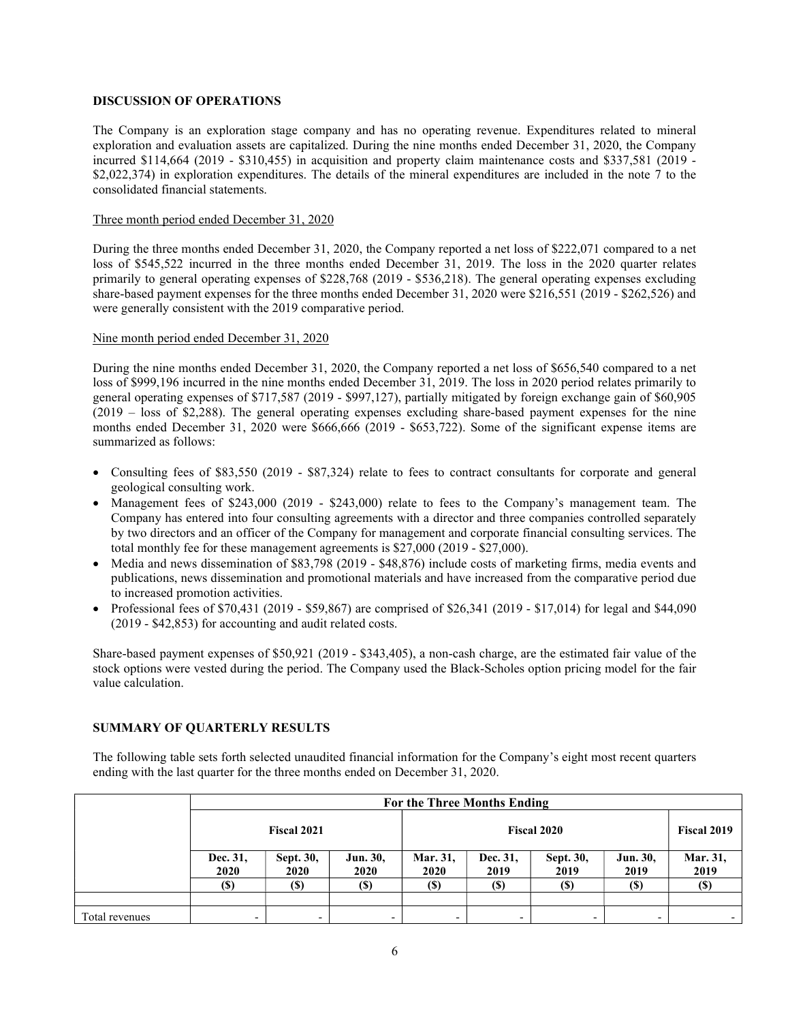## DISCUSSION OF OPERATIONS

The Company is an exploration stage company and has no operating revenue. Expenditures related to mineral exploration and evaluation assets are capitalized. During the nine months ended December 31, 2020, the Company incurred \$114,664 (2019 - \$310,455) in acquisition and property claim maintenance costs and \$337,581 (2019 - \$2,022,374) in exploration expenditures. The details of the mineral expenditures are included in the note 7 to the consolidated financial statements.

#### Three month period ended December 31, 2020

During the three months ended December 31, 2020, the Company reported a net loss of \$222,071 compared to a net loss of \$545,522 incurred in the three months ended December 31, 2019. The loss in the 2020 quarter relates primarily to general operating expenses of \$228,768 (2019 - \$536,218). The general operating expenses excluding share-based payment expenses for the three months ended December 31, 2020 were \$216,551 (2019 - \$262,526) and were generally consistent with the 2019 comparative period.

#### Nine month period ended December 31, 2020

During the nine months ended December 31, 2020, the Company reported a net loss of \$656,540 compared to a net loss of \$999,196 incurred in the nine months ended December 31, 2019. The loss in 2020 period relates primarily to general operating expenses of \$717,587 (2019 - \$997,127), partially mitigated by foreign exchange gain of \$60,905 (2019 – loss of \$2,288). The general operating expenses excluding share-based payment expenses for the nine months ended December 31, 2020 were \$666,666 (2019 - \$653,722). Some of the significant expense items are summarized as follows:

- Consulting fees of \$83,550 (2019 \$87,324) relate to fees to contract consultants for corporate and general geological consulting work.
- Management fees of \$243,000 (2019 \$243,000) relate to fees to the Company's management team. The Company has entered into four consulting agreements with a director and three companies controlled separately by two directors and an officer of the Company for management and corporate financial consulting services. The total monthly fee for these management agreements is \$27,000 (2019 - \$27,000).
- Media and news dissemination of \$83,798 (2019 \$48,876) include costs of marketing firms, media events and publications, news dissemination and promotional materials and have increased from the comparative period due to increased promotion activities.
- Professional fees of \$70,431 (2019 \$59,867) are comprised of \$26,341 (2019 \$17,014) for legal and \$44,090 (2019 - \$42,853) for accounting and audit related costs.

Share-based payment expenses of \$50,921 (2019 - \$343,405), a non-cash charge, are the estimated fair value of the stock options were vested during the period. The Company used the Black-Scholes option pricing model for the fair value calculation.

# SUMMARY OF QUARTERLY RESULTS

The following table sets forth selected unaudited financial information for the Company's eight most recent quarters ending with the last quarter for the three months ended on December 31, 2020.

|                | For the Three Months Ending |                          |                            |                    |                  |                   |                  |                    |
|----------------|-----------------------------|--------------------------|----------------------------|--------------------|------------------|-------------------|------------------|--------------------|
|                | Fiscal 2021                 |                          |                            | <b>Fiscal 2020</b> |                  |                   |                  | <b>Fiscal 2019</b> |
|                | Dec. 31,<br>2020            | Sept. 30,<br><b>2020</b> | <b>Jun. 30,</b><br>2020    | Mar. 31,<br>2020   | Dec. 31,<br>2019 | Sept. 30,<br>2019 | Jun. 30,<br>2019 | Mar. 31,<br>2019   |
|                | (S)                         | <b>(\$)</b>              | $\left( \mathbb{S}\right)$ | <b>(S)</b>         | <b>(\$)</b>      | (S)               | (S)              |                    |
|                |                             |                          |                            |                    |                  |                   |                  |                    |
| Total revenues |                             | $\overline{\phantom{0}}$ | -                          |                    |                  |                   |                  |                    |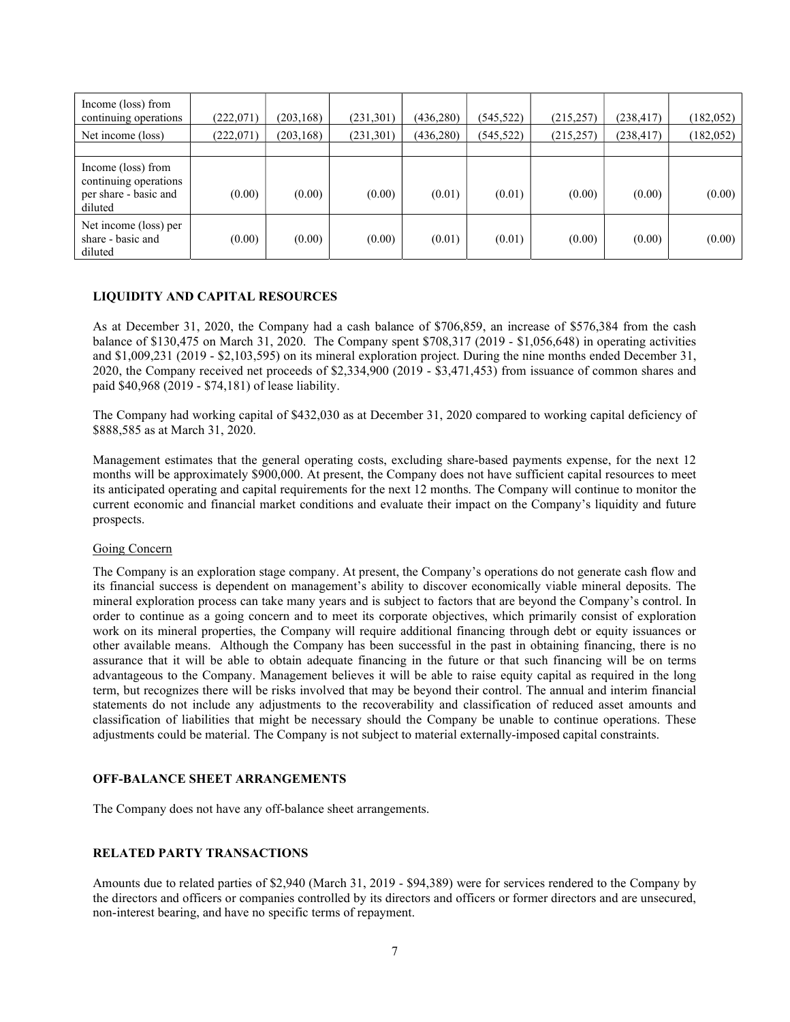| Income (loss) from<br>continuing operations                                     | (222,071) | (203, 168) | (231, 301) | (436, 280) | (545,522) | (215, 257) | (238, 417) | (182, 052) |
|---------------------------------------------------------------------------------|-----------|------------|------------|------------|-----------|------------|------------|------------|
| Net income (loss)                                                               | (222,071) | (203, 168) | (231,301)  | (436, 280) | (545,522) | (215, 257) | (238, 417) | (182, 052) |
|                                                                                 |           |            |            |            |           |            |            |            |
| Income (loss) from<br>continuing operations<br>per share - basic and<br>diluted | (0.00)    | (0.00)     | (0.00)     | (0.01)     | (0.01)    | (0.00)     | (0.00)     | (0.00)     |
| Net income (loss) per<br>share - basic and<br>diluted                           | (0.00)    | (0.00)     | (0.00)     | (0.01)     | (0.01)    | (0.00)     | (0.00)     | (0.00)     |

# LIQUIDITY AND CAPITAL RESOURCES

As at December 31, 2020, the Company had a cash balance of \$706,859, an increase of \$576,384 from the cash balance of \$130,475 on March 31, 2020. The Company spent \$708,317 (2019 - \$1,056,648) in operating activities and \$1,009,231 (2019 - \$2,103,595) on its mineral exploration project. During the nine months ended December 31, 2020, the Company received net proceeds of \$2,334,900 (2019 - \$3,471,453) from issuance of common shares and paid \$40,968 (2019 - \$74,181) of lease liability.

The Company had working capital of \$432,030 as at December 31, 2020 compared to working capital deficiency of \$888,585 as at March 31, 2020.

Management estimates that the general operating costs, excluding share-based payments expense, for the next 12 months will be approximately \$900,000. At present, the Company does not have sufficient capital resources to meet its anticipated operating and capital requirements for the next 12 months. The Company will continue to monitor the current economic and financial market conditions and evaluate their impact on the Company's liquidity and future prospects.

#### Going Concern

The Company is an exploration stage company. At present, the Company's operations do not generate cash flow and its financial success is dependent on management's ability to discover economically viable mineral deposits. The mineral exploration process can take many years and is subject to factors that are beyond the Company's control. In order to continue as a going concern and to meet its corporate objectives, which primarily consist of exploration work on its mineral properties, the Company will require additional financing through debt or equity issuances or other available means. Although the Company has been successful in the past in obtaining financing, there is no assurance that it will be able to obtain adequate financing in the future or that such financing will be on terms advantageous to the Company. Management believes it will be able to raise equity capital as required in the long term, but recognizes there will be risks involved that may be beyond their control. The annual and interim financial statements do not include any adjustments to the recoverability and classification of reduced asset amounts and classification of liabilities that might be necessary should the Company be unable to continue operations. These adjustments could be material. The Company is not subject to material externally-imposed capital constraints.

# OFF-BALANCE SHEET ARRANGEMENTS

The Company does not have any off-balance sheet arrangements.

#### RELATED PARTY TRANSACTIONS

Amounts due to related parties of \$2,940 (March 31, 2019 - \$94,389) were for services rendered to the Company by the directors and officers or companies controlled by its directors and officers or former directors and are unsecured, non-interest bearing, and have no specific terms of repayment.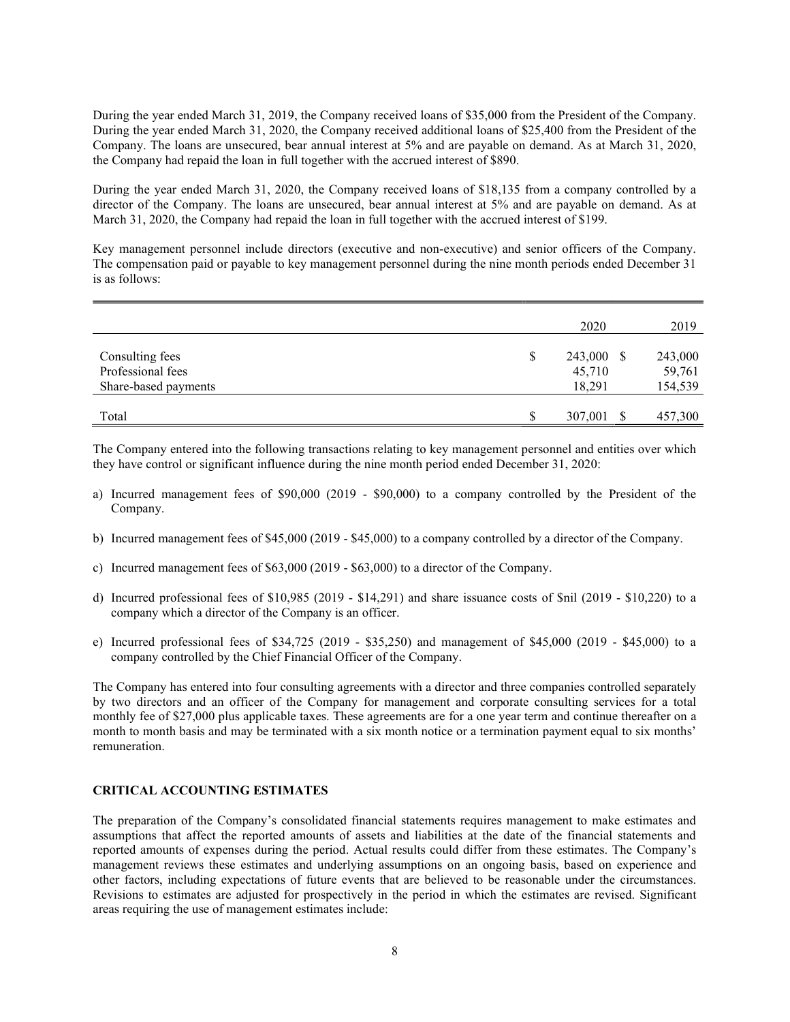During the year ended March 31, 2019, the Company received loans of \$35,000 from the President of the Company. During the year ended March 31, 2020, the Company received additional loans of \$25,400 from the President of the Company. The loans are unsecured, bear annual interest at 5% and are payable on demand. As at March 31, 2020, the Company had repaid the loan in full together with the accrued interest of \$890.

During the year ended March 31, 2020, the Company received loans of \$18,135 from a company controlled by a director of the Company. The loans are unsecured, bear annual interest at 5% and are payable on demand. As at March 31, 2020, the Company had repaid the loan in full together with the accrued interest of \$199.

Key management personnel include directors (executive and non-executive) and senior officers of the Company. The compensation paid or payable to key management personnel during the nine month periods ended December 31 is as follows:

|                                                              |    | 2020                           | 2019                         |
|--------------------------------------------------------------|----|--------------------------------|------------------------------|
| Consulting fees<br>Professional fees<br>Share-based payments | \$ | 243,000 \$<br>45,710<br>18,291 | 243,000<br>59,761<br>154,539 |
| Total                                                        | S  | 307,001                        | 457,300                      |

The Company entered into the following transactions relating to key management personnel and entities over which they have control or significant influence during the nine month period ended December 31, 2020:

- a) Incurred management fees of \$90,000 (2019 \$90,000) to a company controlled by the President of the Company.
- b) Incurred management fees of \$45,000 (2019 \$45,000) to a company controlled by a director of the Company.
- c) Incurred management fees of \$63,000 (2019 \$63,000) to a director of the Company.
- d) Incurred professional fees of \$10,985 (2019 \$14,291) and share issuance costs of \$nil (2019 \$10,220) to a company which a director of the Company is an officer.
- e) Incurred professional fees of \$34,725 (2019 \$35,250) and management of \$45,000 (2019 \$45,000) to a company controlled by the Chief Financial Officer of the Company.

The Company has entered into four consulting agreements with a director and three companies controlled separately by two directors and an officer of the Company for management and corporate consulting services for a total monthly fee of \$27,000 plus applicable taxes. These agreements are for a one year term and continue thereafter on a month to month basis and may be terminated with a six month notice or a termination payment equal to six months' remuneration.

#### CRITICAL ACCOUNTING ESTIMATES

The preparation of the Company's consolidated financial statements requires management to make estimates and assumptions that affect the reported amounts of assets and liabilities at the date of the financial statements and reported amounts of expenses during the period. Actual results could differ from these estimates. The Company's management reviews these estimates and underlying assumptions on an ongoing basis, based on experience and other factors, including expectations of future events that are believed to be reasonable under the circumstances. Revisions to estimates are adjusted for prospectively in the period in which the estimates are revised. Significant areas requiring the use of management estimates include: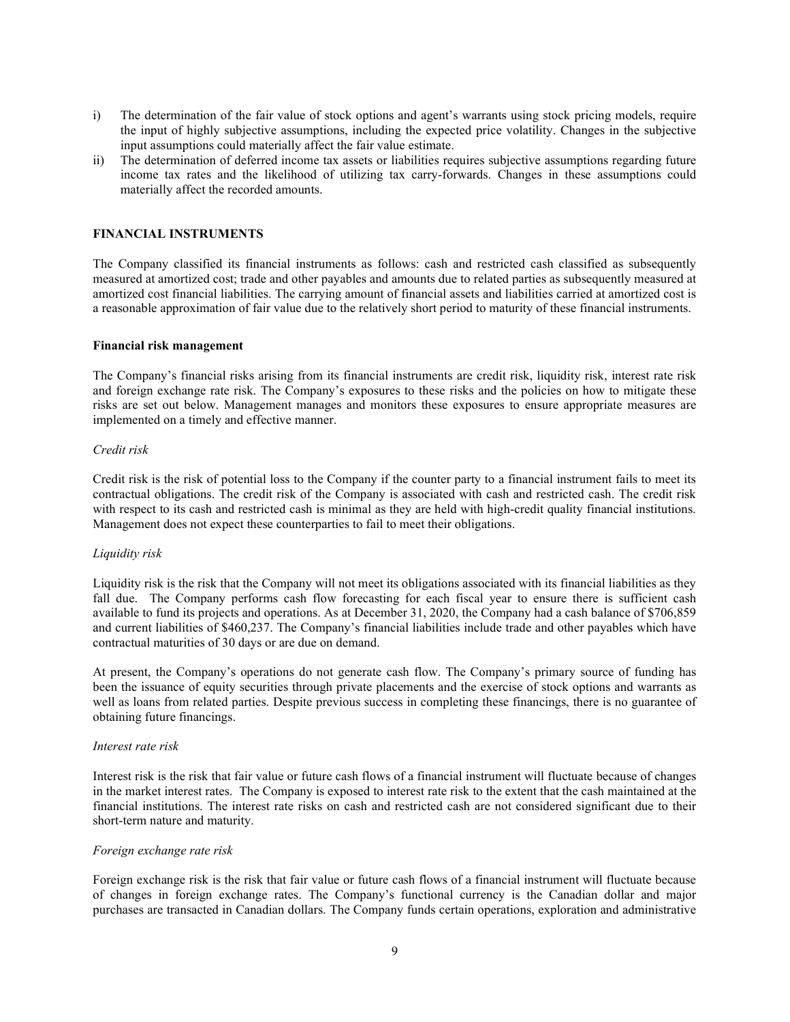- i) The determination of the fair value of stock options and agent's warrants using stock pricing models, require the input of highly subjective assumptions, including the expected price volatility. Changes in the subjective input assumptions could materially affect the fair value estimate.
- ii) The determination of deferred income tax assets or liabilities requires subjective assumptions regarding future income tax rates and the likelihood of utilizing tax carry-forwards. Changes in these assumptions could materially affect the recorded amounts.

## FINANCIAL INSTRUMENTS

The Company classified its financial instruments as follows: cash and restricted cash classified as subsequently measured at amortized cost; trade and other payables and amounts due to related parties as subsequently measured at amortized cost financial liabilities. The carrying amount of financial assets and liabilities carried at amortized cost is a reasonable approximation of fair value due to the relatively short period to maturity of these financial instruments.

#### Financial risk management

The Company's financial risks arising from its financial instruments are credit risk, liquidity risk, interest rate risk and foreign exchange rate risk. The Company's exposures to these risks and the policies on how to mitigate these risks are set out below. Management manages and monitors these exposures to ensure appropriate measures are implemented on a timely and effective manner.

#### Credit risk

Credit risk is the risk of potential loss to the Company if the counter party to a financial instrument fails to meet its contractual obligations. The credit risk of the Company is associated with cash and restricted cash. The credit risk with respect to its cash and restricted cash is minimal as they are held with high-credit quality financial institutions. Management does not expect these counterparties to fail to meet their obligations.

# Liquidity risk

Liquidity risk is the risk that the Company will not meet its obligations associated with its financial liabilities as they fall due. The Company performs cash flow forecasting for each fiscal year to ensure there is sufficient cash available to fund its projects and operations. As at December 31, 2020, the Company had a cash balance of \$706,859 and current liabilities of \$460,237. The Company's financial liabilities include trade and other payables which have contractual maturities of 30 days or are due on demand.

At present, the Company's operations do not generate cash flow. The Company's primary source of funding has been the issuance of equity securities through private placements and the exercise of stock options and warrants as well as loans from related parties. Despite previous success in completing these financings, there is no guarantee of obtaining future financings.

#### Interest rate risk

Interest risk is the risk that fair value or future cash flows of a financial instrument will fluctuate because of changes in the market interest rates. The Company is exposed to interest rate risk to the extent that the cash maintained at the financial institutions. The interest rate risks on cash and restricted cash are not considered significant due to their short-term nature and maturity.

#### Foreign exchange rate risk

Foreign exchange risk is the risk that fair value or future cash flows of a financial instrument will fluctuate because of changes in foreign exchange rates. The Company's functional currency is the Canadian dollar and major purchases are transacted in Canadian dollars. The Company funds certain operations, exploration and administrative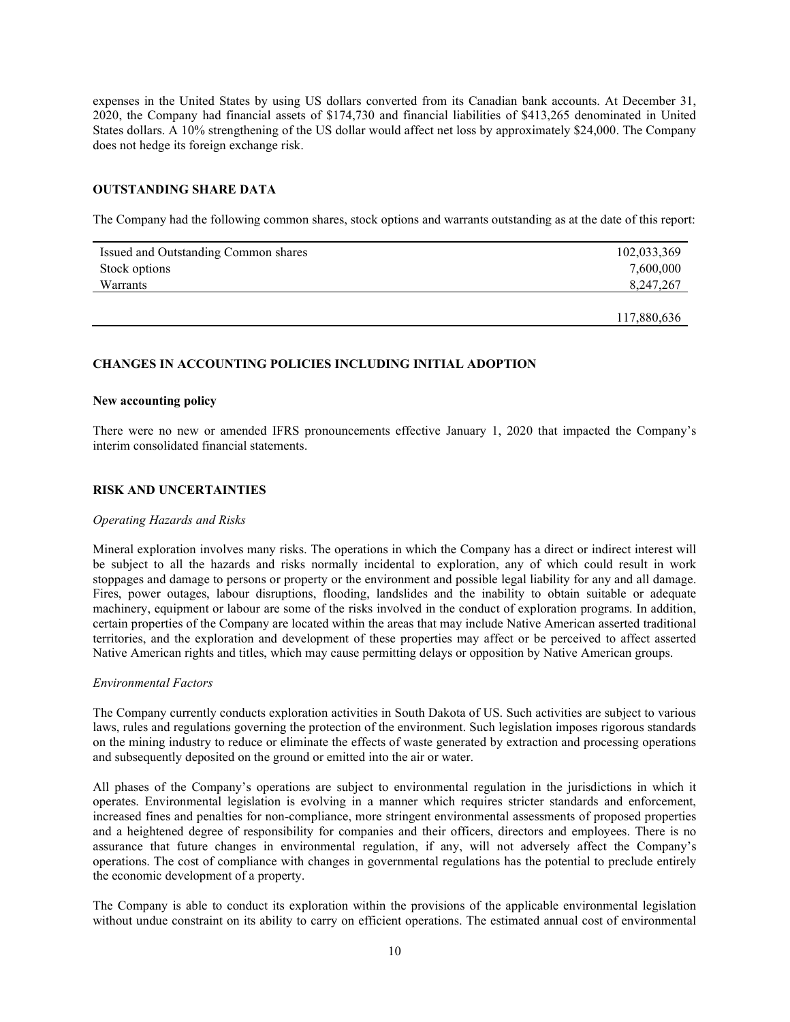expenses in the United States by using US dollars converted from its Canadian bank accounts. At December 31, 2020, the Company had financial assets of \$174,730 and financial liabilities of \$413,265 denominated in United States dollars. A 10% strengthening of the US dollar would affect net loss by approximately \$24,000. The Company does not hedge its foreign exchange risk.

# OUTSTANDING SHARE DATA

The Company had the following common shares, stock options and warrants outstanding as at the date of this report:

| Issued and Outstanding Common shares | 102,033,369 |
|--------------------------------------|-------------|
| Stock options                        | 7,600,000   |
| Warrants                             | 8,247,267   |
|                                      |             |
|                                      | 117,880,636 |

#### CHANGES IN ACCOUNTING POLICIES INCLUDING INITIAL ADOPTION

#### New accounting policy

There were no new or amended IFRS pronouncements effective January 1, 2020 that impacted the Company's interim consolidated financial statements.

#### RISK AND UNCERTAINTIES

#### Operating Hazards and Risks

Mineral exploration involves many risks. The operations in which the Company has a direct or indirect interest will be subject to all the hazards and risks normally incidental to exploration, any of which could result in work stoppages and damage to persons or property or the environment and possible legal liability for any and all damage. Fires, power outages, labour disruptions, flooding, landslides and the inability to obtain suitable or adequate machinery, equipment or labour are some of the risks involved in the conduct of exploration programs. In addition, certain properties of the Company are located within the areas that may include Native American asserted traditional territories, and the exploration and development of these properties may affect or be perceived to affect asserted Native American rights and titles, which may cause permitting delays or opposition by Native American groups.

#### Environmental Factors

The Company currently conducts exploration activities in South Dakota of US. Such activities are subject to various laws, rules and regulations governing the protection of the environment. Such legislation imposes rigorous standards on the mining industry to reduce or eliminate the effects of waste generated by extraction and processing operations and subsequently deposited on the ground or emitted into the air or water.

All phases of the Company's operations are subject to environmental regulation in the jurisdictions in which it operates. Environmental legislation is evolving in a manner which requires stricter standards and enforcement, increased fines and penalties for non-compliance, more stringent environmental assessments of proposed properties and a heightened degree of responsibility for companies and their officers, directors and employees. There is no assurance that future changes in environmental regulation, if any, will not adversely affect the Company's operations. The cost of compliance with changes in governmental regulations has the potential to preclude entirely the economic development of a property.

The Company is able to conduct its exploration within the provisions of the applicable environmental legislation without undue constraint on its ability to carry on efficient operations. The estimated annual cost of environmental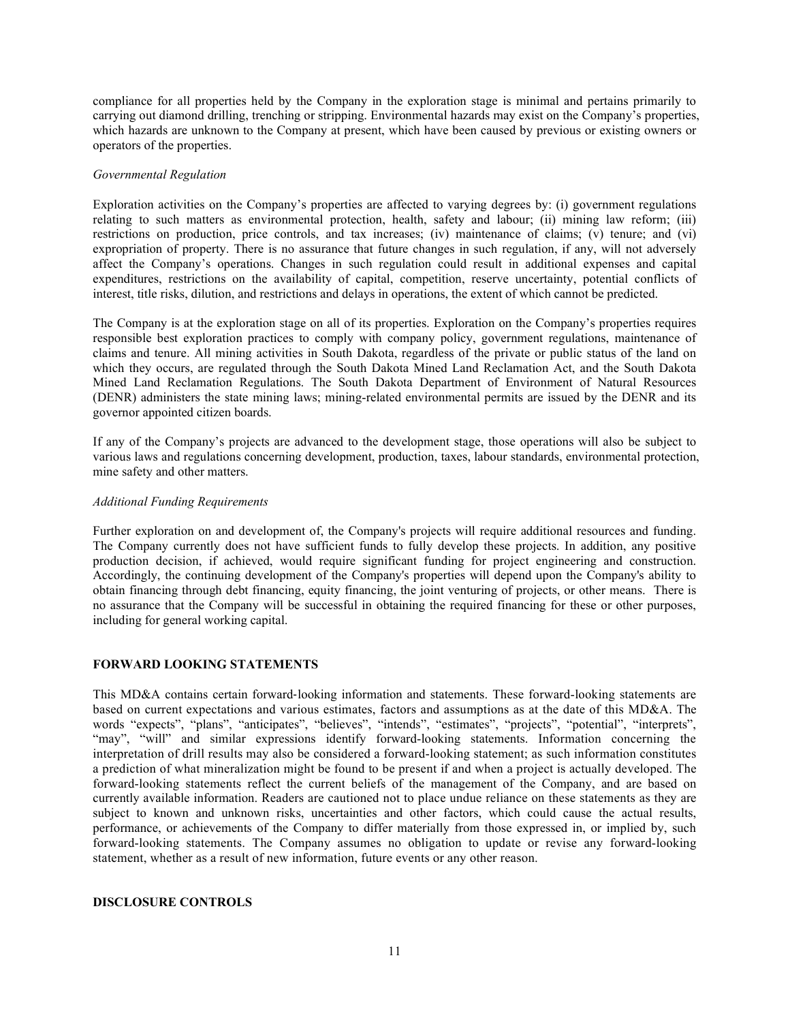compliance for all properties held by the Company in the exploration stage is minimal and pertains primarily to carrying out diamond drilling, trenching or stripping. Environmental hazards may exist on the Company's properties, which hazards are unknown to the Company at present, which have been caused by previous or existing owners or operators of the properties.

#### Governmental Regulation

Exploration activities on the Company's properties are affected to varying degrees by: (i) government regulations relating to such matters as environmental protection, health, safety and labour; (ii) mining law reform; (iii) restrictions on production, price controls, and tax increases; (iv) maintenance of claims; (v) tenure; and (vi) expropriation of property. There is no assurance that future changes in such regulation, if any, will not adversely affect the Company's operations. Changes in such regulation could result in additional expenses and capital expenditures, restrictions on the availability of capital, competition, reserve uncertainty, potential conflicts of interest, title risks, dilution, and restrictions and delays in operations, the extent of which cannot be predicted.

The Company is at the exploration stage on all of its properties. Exploration on the Company's properties requires responsible best exploration practices to comply with company policy, government regulations, maintenance of claims and tenure. All mining activities in South Dakota, regardless of the private or public status of the land on which they occurs, are regulated through the South Dakota Mined Land Reclamation Act, and the South Dakota Mined Land Reclamation Regulations. The South Dakota Department of Environment of Natural Resources (DENR) administers the state mining laws; mining-related environmental permits are issued by the DENR and its governor appointed citizen boards.

If any of the Company's projects are advanced to the development stage, those operations will also be subject to various laws and regulations concerning development, production, taxes, labour standards, environmental protection, mine safety and other matters.

## Additional Funding Requirements

Further exploration on and development of, the Company's projects will require additional resources and funding. The Company currently does not have sufficient funds to fully develop these projects. In addition, any positive production decision, if achieved, would require significant funding for project engineering and construction. Accordingly, the continuing development of the Company's properties will depend upon the Company's ability to obtain financing through debt financing, equity financing, the joint venturing of projects, or other means. There is no assurance that the Company will be successful in obtaining the required financing for these or other purposes, including for general working capital.

# FORWARD LOOKING STATEMENTS

This MD&A contains certain forward-looking information and statements. These forward-looking statements are based on current expectations and various estimates, factors and assumptions as at the date of this MD&A. The words "expects", "plans", "anticipates", "believes", "intends", "estimates", "projects", "potential", "interprets", "may", "will" and similar expressions identify forward-looking statements. Information concerning the interpretation of drill results may also be considered a forward-looking statement; as such information constitutes a prediction of what mineralization might be found to be present if and when a project is actually developed. The forward-looking statements reflect the current beliefs of the management of the Company, and are based on currently available information. Readers are cautioned not to place undue reliance on these statements as they are subject to known and unknown risks, uncertainties and other factors, which could cause the actual results, performance, or achievements of the Company to differ materially from those expressed in, or implied by, such forward-looking statements. The Company assumes no obligation to update or revise any forward-looking statement, whether as a result of new information, future events or any other reason.

## DISCLOSURE CONTROLS